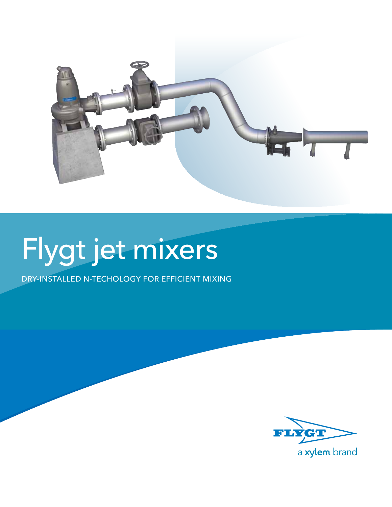

# Flygt jet mixers

Dry-installed N-techology for efficient mixing

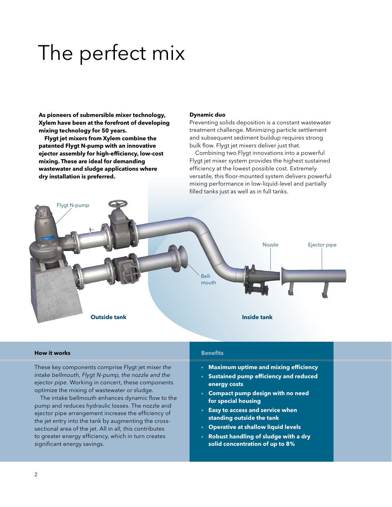### The perfect mix

**As pioneers of submersible mixer technology, Xylem have been at the forefront of developing mixing technology for 50 years.**

**Flygt jet mixers from Xylem combine the patented Flygt N-pump with an innovative ejector assembly for high-efficiency, low-cost mixing. These are ideal for demanding wastewater and sludge applications where dry installation is preferred.**

#### **Dynamic duo**

Preventing solids deposition is a constant wastewater treatment challenge. Minimizing particle settlement and subsequent sediment buildup requires strong bulk flow. Flygt jet mixers deliver just that.

Combining two Flygt innovations into a powerful Flygt jet mixer system provides the highest sustained efficiency at the lowest possible cost. Extremely versatile, this floor-mounted system delivers powerful mixing performance in low-liquid-level and partially filled tanks just as well as in full tanks.



#### **How it works**

These key components comprise Flygt jet mixer *the intake bellmouth, Flygt N-pump, the nozzle and the ejector pipe.* Working in concert, these components optimize the mixing of wastewater or sludge.

The intake bellmouth enhances dynamic flow to the pump and reduces hydraulic losses. The nozzle and ejector pipe arrangement increase the efficiency of the jet entry into the tank by augmenting the crosssectional area of the jet. All in all, this contributes to greater energy efficiency, which in turn creates significant energy savings.

#### **Benefits**

- **Maximum uptime and mixing efficiency**
- **Sustained pump efficiency and reduced energy costs**
- **Compact pump design with no need for special housing**
- **Easy to access and service when standing outside the tank**
- **Operative at shallow liquid levels**
- **Robust handling of sludge with a dry solid concentration of up to 8%**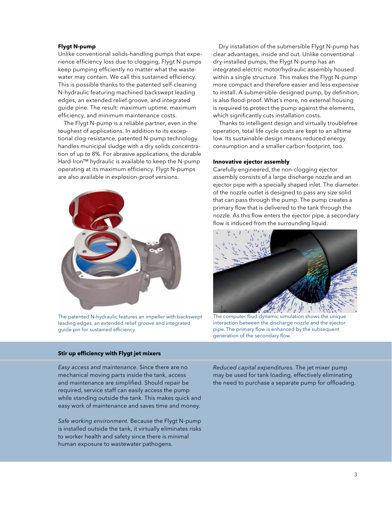#### **Flygt N-pump**

Unlike conventional solids-handling pumps that experience efficiency loss due to clogging, Flygt N-pumps keep pumping efficiently no matter what the wastewater may contain. We call this sustained efficiency. This is possible thanks to the patented self-cleaning N-hydraulic featuring machined backswept leading edges, an extended relief groove, and integrated guide pine. The result: maximum uptime, maximum efficiency, and minimum maintenance costs.

The Flygt N-pump is a reliable partner, even in the toughest of applications. In addition to its exceptional clog-resistance, patented N-pump technology handles municipal sludge with a dry solids concentration of up to 8%. For abrasive applications, the durable Hard-Iron™ hydraulic is available to keep the N-pump operating at its maximum efficiency. Flygt N-pumps are also available in explosion-proof versions.



The patented N-hydraulic features an impeller with backswept leading edges, an extended relief groove and integrated guide pin for sustained efficiency.

#### **Stir up efficiency with Flygt jet mixers**

*Easy access and maintenance.* Since there are no mechanical moving parts inside the tank, access and maintenance are simplified. Should repair be required, service staff can easily access the pump while standing outside the tank. This makes quick and easy work of maintenance and saves time and money.

*Safe working environment.* Because the Flygt N-pump is installed outside the tank, it virtually eliminates risks to worker health and safety since there is minimal human exposure to wastewater pathogens.

Dry installation of the submersible Flygt N-pump has clear advantages, inside and out. Unlike conventional dry-installed pumps, the Flygt N-pump has an integrated electric motor/hydraulic assembly housed within a single structure. This makes the Flygt N-pump more compact and therefore easier and less expensive to install. A submersible-designed pump, by definition, is also flood-proof. What's more, no external housing is required to protect the pump against the elements, which significantly cuts installation costs.

Thanks to intelligent design and virtually troublefree operation, total life cycle costs are kept to an alltime low. Its sustainable design means reduced energy consumption and a smaller carbon footprint, too.

#### **Innovative ejector assembly**

Carefully engineered, the non-clogging ejector assembly consists of a large discharge nozzle and an ejector pipe with a specially shaped inlet. The diameter of the nozzle outlet is designed to pass any size solid that can pass through the pump. The pump creates a primary flow that is delivered to the tank through the nozzle. As this flow enters the ejector pipe, a secondary flow is induced from the surrounding liquid.



The computer fliud dynamic simulation shows the unique interaction between the discharge nozzle and the ejector pipe. The primary flow is enhanced by the subsequent generation of the secondary flow.

*Reduced capital expenditures.* The jet mixer pump may be used for tank loading, effectively eliminating the need to purchase a separate pump for offloading.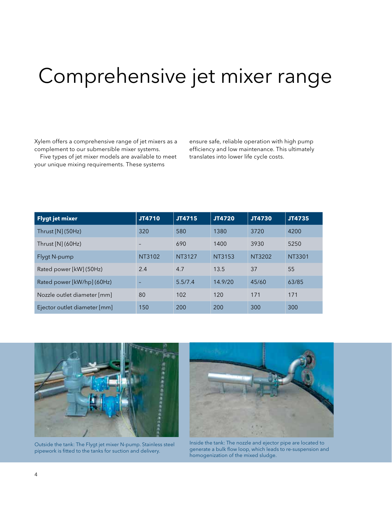### Comprehensive jet mixer range

Xylem offers a comprehensive range of jet mixers as a complement to our submersible mixer systems.

Five types of jet mixer models are available to meet your unique mixing requirements. These systems

ensure safe, reliable operation with high pump efficiency and low maintenance. This ultimately translates into lower life cycle costs.

| <b>Flygt jet mixer</b>       | JT4710 | JT4715  | JT4720  | <b>JT4730</b> | JT4735 |
|------------------------------|--------|---------|---------|---------------|--------|
| Thrust $[N]$ (50Hz)          | 320    | 580     | 1380    | 3720          | 4200   |
| Thrust $[N]$ (60Hz)          |        | 690     | 1400    | 3930          | 5250   |
| Flygt N-pump                 | NT3102 | NT3127  | NT3153  | NT3202        | NT3301 |
| Rated power [kW] (50Hz)      | 2.4    | 4.7     | 13.5    | 37            | 55     |
| Rated power [kW/hp] (60Hz)   |        | 5.5/7.4 | 14.9/20 | 45/60         | 63/85  |
| Nozzle outlet diameter [mm]  | 80     | 102     | 120     | 171           | 171    |
| Ejector outlet diameter [mm] | 150    | 200     | 200     | 300           | 300    |



Outside the tank: The Flygt jet mixer N-pump. Stainless steel pipework is fitted to the tanks for suction and delivery.



Inside the tank: The nozzle and ejector pipe are located to generate a bulk flow loop, which leads to re-suspension and homogenization of the mixed sludge.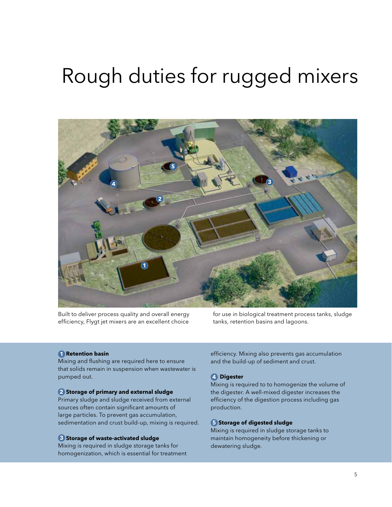### Rough duties for rugged mixers



Built to deliver process quality and overall energy efficiency, Flygt jet mixers are an excellent choice

for use in biological treatment process tanks, sludge tanks, retention basins and lagoons.

#### **1. Retention basin 1**

Mixing and flushing are required here to ensure that solids remain in suspension when wastewater is pumped out.

#### **2. Storage of primary and external sludge 2**

Primary sludge and sludge received from external sources often contain significant amounts of large particles. To prevent gas accumulation, sedimentation and crust build-up, mixing is required.

#### **3. Storage of waste-activated sludge 3**

Mixing is required in sludge storage tanks for homogenization, which is essential for treatment efficiency. Mixing also prevents gas accumulation and the build-up of sediment and crust.

#### **4 Digester 4**

Mixing is required to to homogenize the volume of the digester. A well-mixed digester increases the efficiency of the digestion process including gas production.

#### **5 Storage of digested sludge 5**

Mixing is required in sludge storage tanks to maintain homogeneity before thickening or dewatering sludge.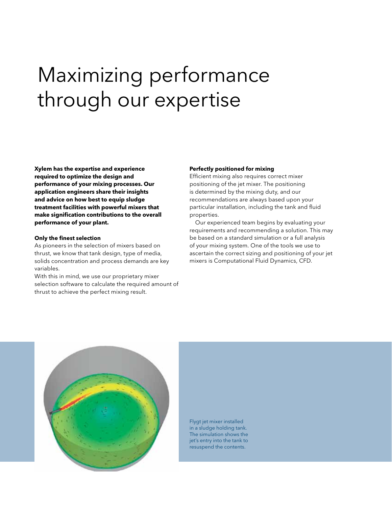## Maximizing performance through our expertise

**Xylem has the expertise and experience required to optimize the design and performance of your mixing processes. Our application engineers share their insights and advice on how best to equip sludge treatment facilities with powerful mixers that make signification contributions to the overall performance of your plant.**

#### **Only the finest selection**

As pioneers in the selection of mixers based on thrust, we know that tank design, type of media, solids concentration and process demands are key variables.

With this in mind, we use our proprietary mixer selection software to calculate the required amount of thrust to achieve the perfect mixing result.

#### **Perfectly positioned for mixing**

Efficient mixing also requires correct mixer positioning of the jet mixer. The positioning is determined by the mixing duty, and our recommendations are always based upon your particular installation, including the tank and fluid properties.

Our experienced team begins by evaluating your requirements and recommending a solution. This may be based on a standard simulation or a full analysis of your mixing system. One of the tools we use to ascertain the correct sizing and positioning of your jet mixers is Computational Fluid Dynamics, CFD.



Flygt jet mixer installed in a sludge holding tank. The simulation shows the jet's entry into the tank to resuspend the contents.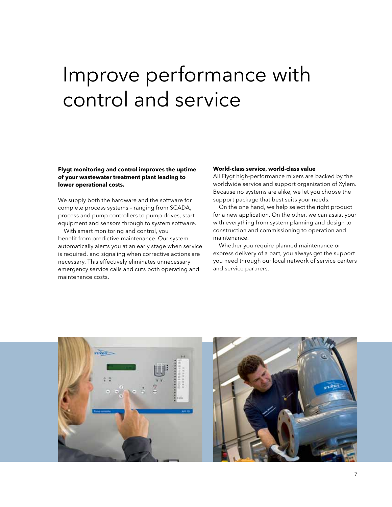### Improve performance with control and service

#### **Flygt monitoring and control improves the uptime of your wastewater treatment plant leading to lower operational costs.**

We supply both the hardware and the software for complete process systems – ranging from SCADA, process and pump controllers to pump drives, start equipment and sensors through to system software.

With smart monitoring and control, you benefit from predictive maintenance. Our system automatically alerts you at an early stage when service is required, and signaling when corrective actions are necessary. This effectively eliminates unnecessary emergency service calls and cuts both operating and maintenance costs.

#### **World-class service, world-class value**

All Flygt high-performance mixers are backed by the worldwide service and support organization of Xylem. Because no systems are alike, we let you choose the support package that best suits your needs.

On the one hand, we help select the right product for a new application. On the other, we can assist your with everything from system planning and design to construction and commissioning to operation and maintenance.

Whether you require planned maintenance or express delivery of a part, you always get the support you need through our local network of service centers and service partners.